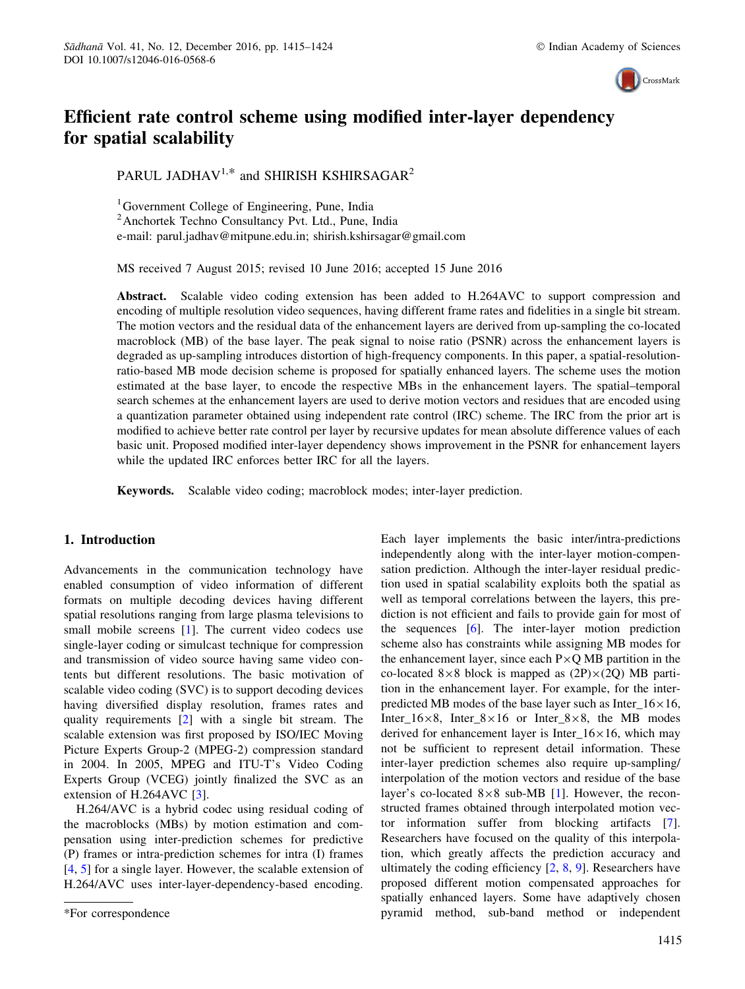

# Efficient rate control scheme using modified inter-layer dependency for spatial scalability

PARUL JADHAV<sup>1,\*</sup> and SHIRISH KSHIRSAGAR<sup>2</sup>

<sup>1</sup> Government College of Engineering, Pune, India 2 Anchortek Techno Consultancy Pvt. Ltd., Pune, India e-mail: parul.jadhav@mitpune.edu.in; shirish.kshirsagar@gmail.com

MS received 7 August 2015; revised 10 June 2016; accepted 15 June 2016

Abstract. Scalable video coding extension has been added to H.264AVC to support compression and encoding of multiple resolution video sequences, having different frame rates and fidelities in a single bit stream. The motion vectors and the residual data of the enhancement layers are derived from up-sampling the co-located macroblock (MB) of the base layer. The peak signal to noise ratio (PSNR) across the enhancement layers is degraded as up-sampling introduces distortion of high-frequency components. In this paper, a spatial-resolutionratio-based MB mode decision scheme is proposed for spatially enhanced layers. The scheme uses the motion estimated at the base layer, to encode the respective MBs in the enhancement layers. The spatial–temporal search schemes at the enhancement layers are used to derive motion vectors and residues that are encoded using a quantization parameter obtained using independent rate control (IRC) scheme. The IRC from the prior art is modified to achieve better rate control per layer by recursive updates for mean absolute difference values of each basic unit. Proposed modified inter-layer dependency shows improvement in the PSNR for enhancement layers while the updated IRC enforces better IRC for all the layers.

Keywords. Scalable video coding; macroblock modes; inter-layer prediction.

# 1. Introduction

Advancements in the communication technology have enabled consumption of video information of different formats on multiple decoding devices having different spatial resolutions ranging from large plasma televisions to small mobile screens [1]. The current video codecs use single-layer coding or simulcast technique for compression and transmission of video source having same video contents but different resolutions. The basic motivation of scalable video coding (SVC) is to support decoding devices having diversified display resolution, frames rates and quality requirements [2] with a single bit stream. The scalable extension was first proposed by ISO/IEC Moving Picture Experts Group-2 (MPEG-2) compression standard in 2004. In 2005, MPEG and ITU-T's Video Coding Experts Group (VCEG) jointly finalized the SVC as an extension of H.264AVC [3].

H.264/AVC is a hybrid codec using residual coding of the macroblocks (MBs) by motion estimation and compensation using inter-prediction schemes for predictive (P) frames or intra-prediction schemes for intra (I) frames [4, 5] for a single layer. However, the scalable extension of H.264/AVC uses inter-layer-dependency-based encoding.

Each layer implements the basic inter/intra-predictions independently along with the inter-layer motion-compensation prediction. Although the inter-layer residual prediction used in spatial scalability exploits both the spatial as well as temporal correlations between the layers, this prediction is not efficient and fails to provide gain for most of the sequences [6]. The inter-layer motion prediction scheme also has constraints while assigning MB modes for the enhancement layer, since each  $P\times Q$  MB partition in the co-located  $8\times8$  block is mapped as  $(2P)\times(2Q)$  MB partition in the enhancement layer. For example, for the interpredicted MB modes of the base layer such as Inter  $16\times16$ , Inter\_16 $\times$ 8, Inter\_8 $\times$ 16 or Inter\_8 $\times$ 8, the MB modes derived for enhancement layer is Inter<sub>16</sub>×16, which may not be sufficient to represent detail information. These inter-layer prediction schemes also require up-sampling/ interpolation of the motion vectors and residue of the base layer's co-located  $8\times8$  sub-MB [1]. However, the reconstructed frames obtained through interpolated motion vector information suffer from blocking artifacts [7]. Researchers have focused on the quality of this interpolation, which greatly affects the prediction accuracy and ultimately the coding efficiency [2, 8, 9]. Researchers have proposed different motion compensated approaches for spatially enhanced layers. Some have adaptively chosen \*For correspondence pyramid method, sub-band method or independent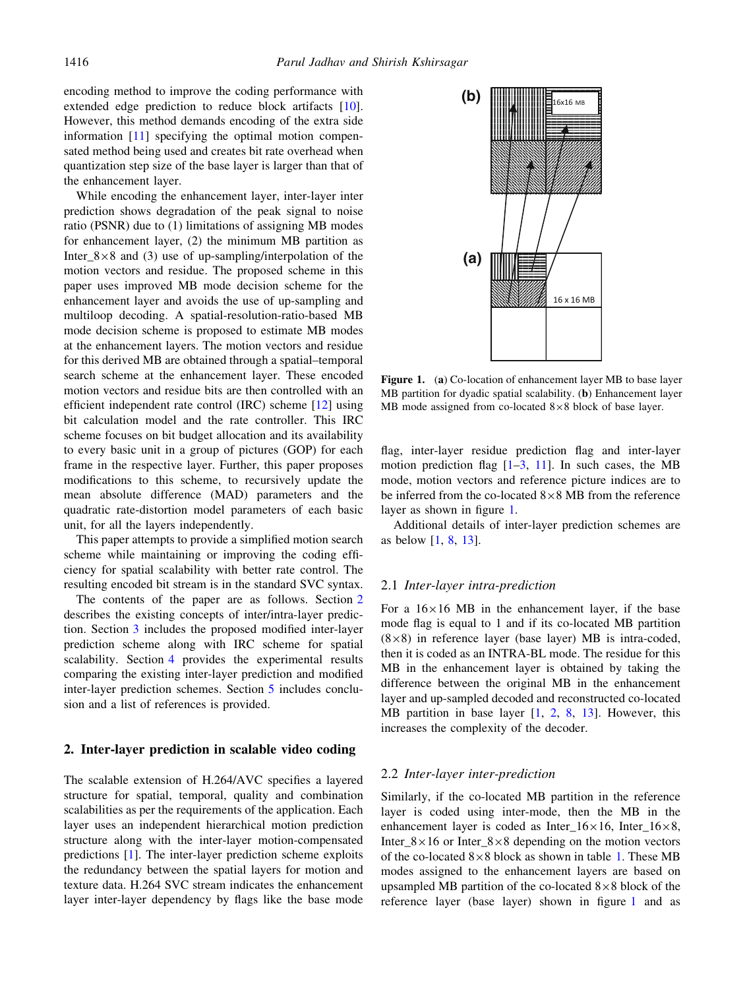encoding method to improve the coding performance with extended edge prediction to reduce block artifacts [10]. However, this method demands encoding of the extra side information [11] specifying the optimal motion compensated method being used and creates bit rate overhead when quantization step size of the base layer is larger than that of the enhancement layer.

While encoding the enhancement layer, inter-layer inter prediction shows degradation of the peak signal to noise ratio (PSNR) due to (1) limitations of assigning MB modes for enhancement layer, (2) the minimum MB partition as Inter\_8 $\times$ 8 and (3) use of up-sampling/interpolation of the motion vectors and residue. The proposed scheme in this paper uses improved MB mode decision scheme for the enhancement layer and avoids the use of up-sampling and multiloop decoding. A spatial-resolution-ratio-based MB mode decision scheme is proposed to estimate MB modes at the enhancement layers. The motion vectors and residue for this derived MB are obtained through a spatial–temporal search scheme at the enhancement layer. These encoded motion vectors and residue bits are then controlled with an efficient independent rate control (IRC) scheme [12] using bit calculation model and the rate controller. This IRC scheme focuses on bit budget allocation and its availability to every basic unit in a group of pictures (GOP) for each frame in the respective layer. Further, this paper proposes modifications to this scheme, to recursively update the mean absolute difference (MAD) parameters and the quadratic rate-distortion model parameters of each basic unit, for all the layers independently.

This paper attempts to provide a simplified motion search scheme while maintaining or improving the coding efficiency for spatial scalability with better rate control. The resulting encoded bit stream is in the standard SVC syntax.

The contents of the paper are as follows. Section 2 describes the existing concepts of inter/intra-layer prediction. Section 3 includes the proposed modified inter-layer prediction scheme along with IRC scheme for spatial scalability. Section 4 provides the experimental results comparing the existing inter-layer prediction and modified inter-layer prediction schemes. Section 5 includes conclusion and a list of references is provided.

# 2. Inter-layer prediction in scalable video coding

The scalable extension of H.264/AVC specifies a layered structure for spatial, temporal, quality and combination scalabilities as per the requirements of the application. Each layer uses an independent hierarchical motion prediction structure along with the inter-layer motion-compensated predictions [1]. The inter-layer prediction scheme exploits the redundancy between the spatial layers for motion and texture data. H.264 SVC stream indicates the enhancement layer inter-layer dependency by flags like the base mode



Figure 1. (a) Co-location of enhancement layer MB to base layer MB partition for dyadic spatial scalability. (b) Enhancement layer MB mode assigned from co-located  $8\times8$  block of base layer.

flag, inter-layer residue prediction flag and inter-layer motion prediction flag  $[1-3, 11]$ . In such cases, the MB mode, motion vectors and reference picture indices are to be inferred from the co-located  $8\times 8$  MB from the reference layer as shown in figure 1.

Additional details of inter-layer prediction schemes are as below [1, 8, 13].

#### 2.1 Inter-layer intra-prediction

For a  $16\times16$  MB in the enhancement layer, if the base mode flag is equal to 1 and if its co-located MB partition  $(8\times8)$  in reference layer (base layer) MB is intra-coded, then it is coded as an INTRA-BL mode. The residue for this MB in the enhancement layer is obtained by taking the difference between the original MB in the enhancement layer and up-sampled decoded and reconstructed co-located MB partition in base layer [1, 2, 8, 13]. However, this increases the complexity of the decoder.

#### 2.2 Inter-layer inter-prediction

Similarly, if the co-located MB partition in the reference layer is coded using inter-mode, then the MB in the enhancement layer is coded as Inter  $16\times16$ , Inter  $16\times8$ , Inter\_8 $\times$ 16 or Inter\_8 $\times$ 8 depending on the motion vectors of the co-located  $8\times8$  block as shown in table 1. These MB modes assigned to the enhancement layers are based on upsampled MB partition of the co-located  $8\times8$  block of the reference layer (base layer) shown in figure 1 and as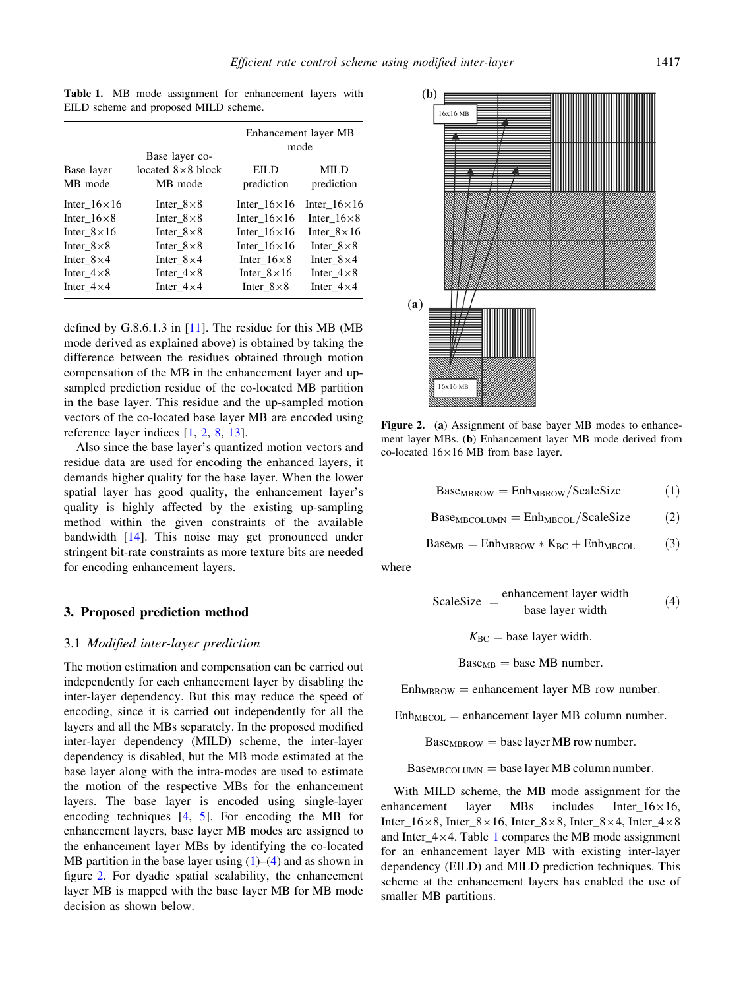Table 1. MB mode assignment for enhancement layers with EILD scheme and proposed MILD scheme.

|                       |                                                         | Enhancement layer MB<br>mode |                           |  |
|-----------------------|---------------------------------------------------------|------------------------------|---------------------------|--|
| Base layer<br>MB mode | Base layer co-<br>located $8 \times 8$ block<br>MB mode | EILD<br>prediction           | <b>MILD</b><br>prediction |  |
| Inter $16\times16$    | Inter $8\times8$                                        | Inter_ $16\times16$          | Inter_ $16 \times 16$     |  |
| Inter $16\times8$     | Inter $8\times8$                                        | Inter $16\times16$           | Inter $16\times8$         |  |
| Inter $8 \times 16$   | Inter $8\times8$                                        | Inter $16 \times 16$         | Inter $8 \times 16$       |  |
| Inter $8 \times 8$    | Inter $8\times8$                                        | Inter $16 \times 16$         | Inter $8 \times 8$        |  |
| Inter $8\times4$      | Inter $8\times4$                                        | Inter $16\times8$            | Inter $8\times4$          |  |
| Inter $4 \times 8$    | Inter $4 \times 8$                                      | Inter $8 \times 16$          | Inter $4 \times 8$        |  |
| Inter $4\times4$      | Inter $4 \times 4$                                      | Inter $8\times8$             | Inter $4\times4$          |  |

defined by G.8.6.1.3 in [11]. The residue for this MB (MB mode derived as explained above) is obtained by taking the difference between the residues obtained through motion compensation of the MB in the enhancement layer and upsampled prediction residue of the co-located MB partition in the base layer. This residue and the up-sampled motion vectors of the co-located base layer MB are encoded using reference layer indices [1, 2, 8, 13].

Also since the base layer's quantized motion vectors and residue data are used for encoding the enhanced layers, it demands higher quality for the base layer. When the lower spatial layer has good quality, the enhancement layer's quality is highly affected by the existing up-sampling method within the given constraints of the available bandwidth [14]. This noise may get pronounced under stringent bit-rate constraints as more texture bits are needed for encoding enhancement layers.

#### 3. Proposed prediction method

# 3.1 Modified inter-layer prediction

The motion estimation and compensation can be carried out independently for each enhancement layer by disabling the inter-layer dependency. But this may reduce the speed of encoding, since it is carried out independently for all the layers and all the MBs separately. In the proposed modified inter-layer dependency (MILD) scheme, the inter-layer dependency is disabled, but the MB mode estimated at the base layer along with the intra-modes are used to estimate the motion of the respective MBs for the enhancement layers. The base layer is encoded using single-layer encoding techniques [4, 5]. For encoding the MB for enhancement layers, base layer MB modes are assigned to the enhancement layer MBs by identifying the co-located MB partition in the base layer using  $(1)$ – $(4)$  and as shown in figure 2. For dyadic spatial scalability, the enhancement layer MB is mapped with the base layer MB for MB mode decision as shown below.



Figure 2. (a) Assignment of base bayer MB modes to enhancement layer MBs. (b) Enhancement layer MB mode derived from co-located  $16\times16$  MB from base layer.

 $Base<sub>MBROW</sub> = Enh<sub>MBROW</sub>/ScaleSize$  (1)

$$
BaseMBCOLUMN = EnhMBCOL/ScaleSize
$$
 (2)

$$
BaseMB = EnhMBROW * KBC + EnhMBCOL (3)
$$

where

$$
ScaleSize = \frac{enhancement layer width}{base layer width} \tag{4}
$$

 $K_{BC}$  = base layer width.

 $Base<sub>MB</sub> = base MB number.$ 

 $Enh<sub>MRROW</sub> = enhancement layer MB row number.$ 

 $Enh_{MBCOL} =$  enhancement layer MB column number.

 $Base<sub>MBROW</sub> = base layer MB row number.$ 

 $Base<sub>MECOLUMN</sub> = base layer MB column number.$ 

With MILD scheme, the MB mode assignment for the enhancement layer MBs includes Inter  $16\times16$ , Inter\_16 $\times$ 8, Inter\_8 $\times$ 16, Inter\_8 $\times$ 8, Inter\_8 $\times$ 4, Inter\_4 $\times$ 8 and Inter  $4\times4$ . Table 1 compares the MB mode assignment for an enhancement layer MB with existing inter-layer dependency (EILD) and MILD prediction techniques. This scheme at the enhancement layers has enabled the use of smaller MB partitions.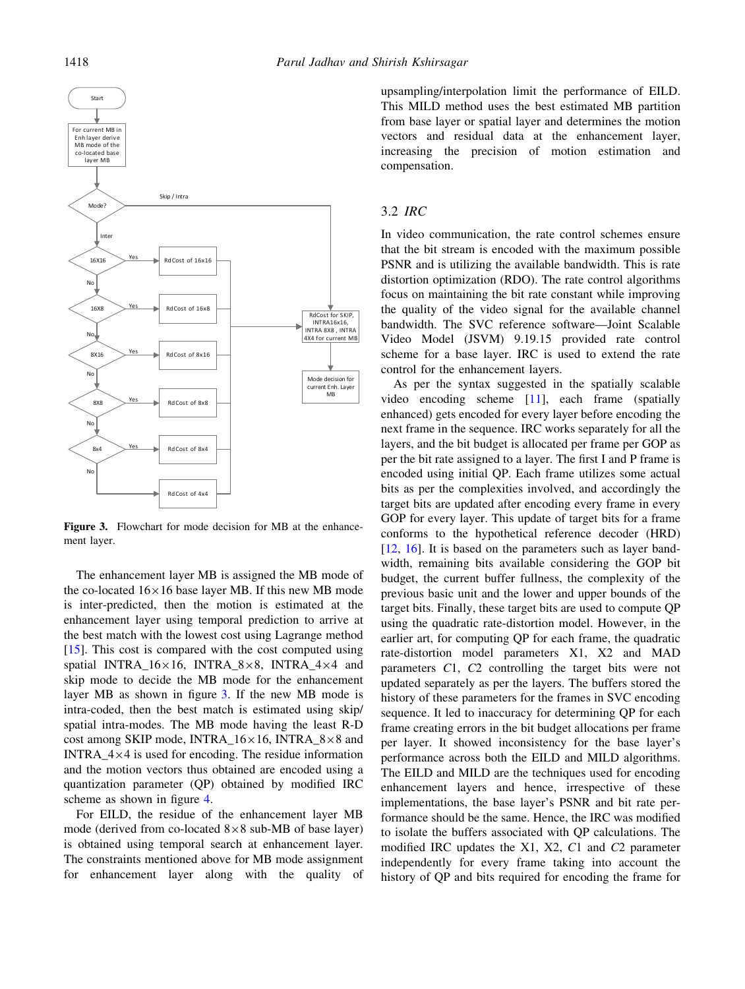

Figure 3. Flowchart for mode decision for MB at the enhancement layer.

The enhancement layer MB is assigned the MB mode of the co-located  $16\times16$  base layer MB. If this new MB mode is inter-predicted, then the motion is estimated at the enhancement layer using temporal prediction to arrive at the best match with the lowest cost using Lagrange method  $[15]$ . This cost is compared with the cost computed using spatial INTRA\_ $16\times16$ , INTRA\_8 $\times8$ , INTRA\_4 $\times4$  and skip mode to decide the MB mode for the enhancement layer MB as shown in figure 3. If the new MB mode is intra-coded, then the best match is estimated using skip/ spatial intra-modes. The MB mode having the least R-D cost among SKIP mode, INTRA\_ $16\times16$ , INTRA\_8 $\times8$  and INTRA  $4\times4$  is used for encoding. The residue information and the motion vectors thus obtained are encoded using a quantization parameter (QP) obtained by modified IRC scheme as shown in figure 4.

For EILD, the residue of the enhancement layer MB mode (derived from co-located  $8\times 8$  sub-MB of base layer) is obtained using temporal search at enhancement layer. The constraints mentioned above for MB mode assignment for enhancement layer along with the quality of upsampling/interpolation limit the performance of EILD. This MILD method uses the best estimated MB partition from base layer or spatial layer and determines the motion vectors and residual data at the enhancement layer, increasing the precision of motion estimation and compensation.

# 3.2 IRC

In video communication, the rate control schemes ensure that the bit stream is encoded with the maximum possible PSNR and is utilizing the available bandwidth. This is rate distortion optimization (RDO). The rate control algorithms focus on maintaining the bit rate constant while improving the quality of the video signal for the available channel bandwidth. The SVC reference software—Joint Scalable Video Model (JSVM) 9.19.15 provided rate control scheme for a base layer. IRC is used to extend the rate control for the enhancement layers.

As per the syntax suggested in the spatially scalable video encoding scheme [11], each frame (spatially enhanced) gets encoded for every layer before encoding the next frame in the sequence. IRC works separately for all the layers, and the bit budget is allocated per frame per GOP as per the bit rate assigned to a layer. The first I and P frame is encoded using initial QP. Each frame utilizes some actual bits as per the complexities involved, and accordingly the target bits are updated after encoding every frame in every GOP for every layer. This update of target bits for a frame conforms to the hypothetical reference decoder (HRD) [12, 16]. It is based on the parameters such as layer bandwidth, remaining bits available considering the GOP bit budget, the current buffer fullness, the complexity of the previous basic unit and the lower and upper bounds of the target bits. Finally, these target bits are used to compute QP using the quadratic rate-distortion model. However, in the earlier art, for computing QP for each frame, the quadratic rate-distortion model parameters X1, X2 and MAD parameters C1, C2 controlling the target bits were not updated separately as per the layers. The buffers stored the history of these parameters for the frames in SVC encoding sequence. It led to inaccuracy for determining QP for each frame creating errors in the bit budget allocations per frame per layer. It showed inconsistency for the base layer's performance across both the EILD and MILD algorithms. The EILD and MILD are the techniques used for encoding enhancement layers and hence, irrespective of these implementations, the base layer's PSNR and bit rate performance should be the same. Hence, the IRC was modified to isolate the buffers associated with QP calculations. The modified IRC updates the X1, X2, C1 and C2 parameter independently for every frame taking into account the history of QP and bits required for encoding the frame for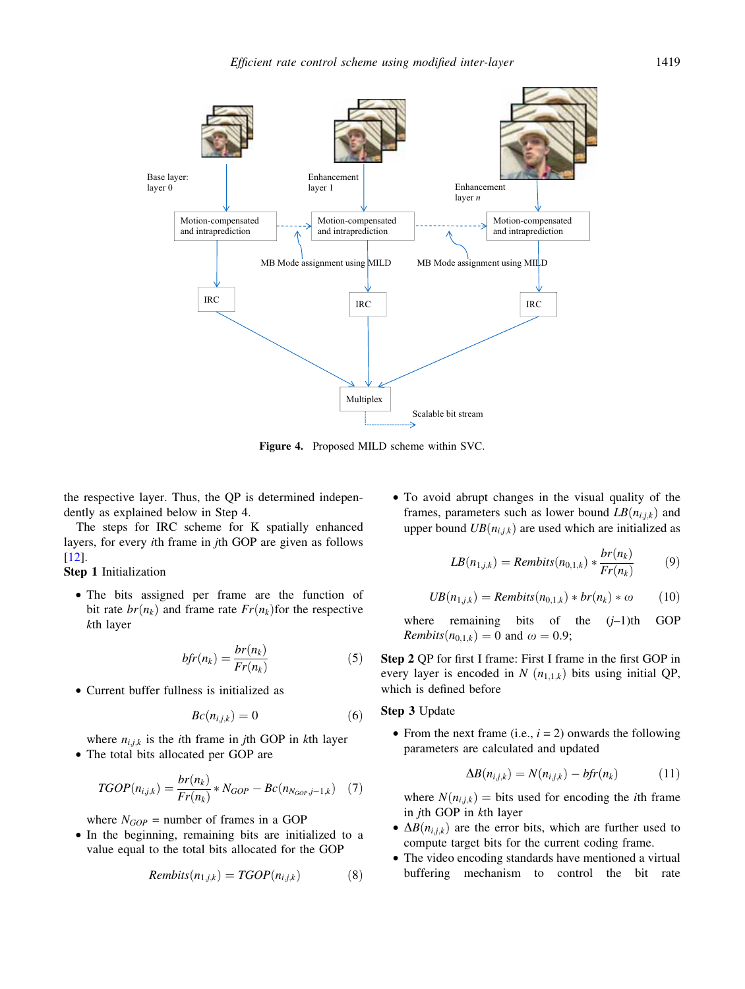

Figure 4. Proposed MILD scheme within SVC.

the respective layer. Thus, the QP is determined independently as explained below in Step 4.

The steps for IRC scheme for K spatially enhanced layers, for every ith frame in jth GOP are given as follows [12].

Step 1 Initialization

• The bits assigned per frame are the function of bit rate  $br(n_k)$  and frame rate  $Fr(n_k)$  for the respective kth layer

$$
bfr(n_k) = \frac{br(n_k)}{Fr(n_k)}\tag{5}
$$

• Current buffer fullness is initialized as

$$
Bc(n_{i,j,k}) = 0 \tag{6}
$$

where  $n_{i,j,k}$  is the *i*th frame in *j*th GOP in *k*th layer • The total bits allocated per GOP are

$$
TGOP(n_{i,j,k}) = \frac{br(n_k)}{Fr(n_k)} * N_{GOP} - Bc(n_{N_{GOP},j-1,k}) \quad (7)
$$

where  $N_{GOP}$  = number of frames in a GOP

• In the beginning, remaining bits are initialized to a value equal to the total bits allocated for the GOP

$$
Rembits(n_{1,j,k}) = TGOP(n_{i,j,k}) \tag{8}
$$

• To avoid abrupt changes in the visual quality of the frames, parameters such as lower bound  $LB(n_{i,j,k})$  and upper bound  $UB(n_{i,j,k})$  are used which are initialized as

$$
LB(n_{1,j,k}) = Rembits(n_{0,1,k}) * \frac{br(n_k)}{Fr(n_k)}
$$
(9)

$$
UB(n_{1,j,k}) = Rembits(n_{0,1,k}) * br(n_k) * \omega \qquad (10)
$$

where remaining bits of the  $(j-1)$ th GOP Rembits $(n_{0,1,k}) = 0$  and  $\omega = 0.9$ ;

Step 2 QP for first I frame: First I frame in the first GOP in every layer is encoded in  $N(n_{1,1,k})$  bits using initial QP, which is defined before

#### Step 3 Update

• From the next frame (i.e.,  $i = 2$ ) onwards the following parameters are calculated and updated

$$
\Delta B(n_{i,j,k}) = N(n_{i,j,k}) - bfr(n_k) \tag{11}
$$

where  $N(n_{i,j,k}) = \text{bits used for encoding the } i\text{th frame}$ in jth GOP in kth layer

- $\Delta B(n_{i,j,k})$  are the error bits, which are further used to compute target bits for the current coding frame.
- The video encoding standards have mentioned a virtual buffering mechanism to control the bit rate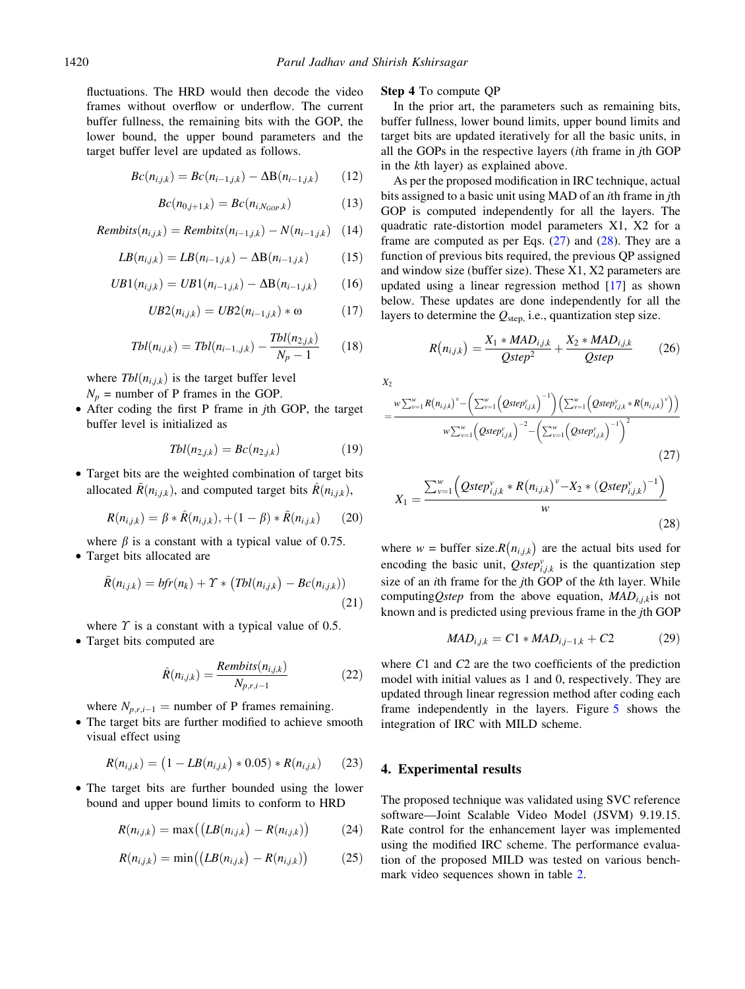fluctuations. The HRD would then decode the video frames without overflow or underflow. The current buffer fullness, the remaining bits with the GOP, the lower bound, the upper bound parameters and the target buffer level are updated as follows.

$$
Bc(n_{i,j,k}) = Bc(n_{i-1,j,k}) - \Delta B(n_{i-1,j,k})
$$
 (12)

$$
Bc(n_{0,j+1,k}) = Bc(n_{i,N_{GOP},k})
$$
 (13)

$$
Rembits(n_{i,j,k}) = Rembits(n_{i-1,j,k}) - N(n_{i-1,j,k}) \quad (14)
$$

$$
LB(n_{i,j,k}) = LB(n_{i-1,j,k}) - \Delta B(n_{i-1,j,k})
$$
 (15)

$$
UB1(n_{i,j,k}) = UB1(n_{i-1,j,k}) - \Delta B(n_{i-1,j,k}) \qquad (16)
$$

$$
UB2(n_{i,j,k}) = UB2(n_{i-1,j,k}) * \omega \qquad (17)
$$

$$
Tbl(n_{i,j,k}) = Tbl(n_{i-1,j,k}) - \frac{Tbl(n_{2,j,k})}{N_p - 1} \qquad (18)
$$

where  $Tbl(n_{i,j,k})$  is the target buffer level

 $N_p$  = number of P frames in the GOP.

• After coding the first P frame in jth GOP, the target buffer level is initialized as

$$
Tbl(n_{2,j,k}) = Bc(n_{2,j,k}) \qquad (19)
$$

• Target bits are the weighted combination of target bits allocated  $\tilde{R}(n_{i,j,k})$ , and computed target bits  $\hat{R}(n_{i,j,k})$ ,

$$
R(n_{i,j,k}) = \beta * \hat{R}(n_{i,j,k}), + (1 - \beta) * \tilde{R}(n_{i,j,k})
$$
 (20)

where  $\beta$  is a constant with a typical value of 0.75.

• Target bits allocated are

$$
\tilde{R}(n_{i,j,k}) = bfr(n_k) + \Upsilon * (Tbl(n_{i,j,k}) - Bc(n_{i,j,k}))
$$
\n(21)

where  $\Upsilon$  is a constant with a typical value of 0.5.

• Target bits computed are

$$
\hat{R}(n_{i,j,k}) = \frac{Rembits(n_{i,j,k})}{N_{p,r,i-1}} \tag{22}
$$

where  $N_{p,r,i-1}$  = number of P frames remaining.

• The target bits are further modified to achieve smooth visual effect using

$$
R(n_{i,j,k}) = (1 - LB(n_{i,j,k}) * 0.05) * R(n_{i,j,k})
$$
 (23)

• The target bits are further bounded using the lower bound and upper bound limits to conform to HRD

$$
R(n_{i,j,k}) = \max\left(\left(LB(n_{i,j,k}) - R(n_{i,j,k})\right)\right) \tag{24}
$$

$$
R(n_{i,j,k}) = \min\bigl(\bigl(LB(n_{i,j,k}) - R(n_{i,j,k})\bigr) \tag{25}
$$

#### Step 4 To compute QP

In the prior art, the parameters such as remaining bits, buffer fullness, lower bound limits, upper bound limits and target bits are updated iteratively for all the basic units, in all the GOPs in the respective layers (ith frame in jth GOP in the kth layer) as explained above.

As per the proposed modification in IRC technique, actual bits assigned to a basic unit using MAD of an ith frame in jth GOP is computed independently for all the layers. The quadratic rate-distortion model parameters X1, X2 for a frame are computed as per Eqs.  $(27)$  and  $(28)$ . They are a function of previous bits required, the previous QP assigned and window size (buffer size). These X1, X2 parameters are updated using a linear regression method [17] as shown below. These updates are done independently for all the layers to determine the  $Q_{step}$ , i.e., quantization step size.

$$
R(n_{i,j,k}) = \frac{X_1 * MAD_{i,j,k}}{Qstep^2} + \frac{X_2 * MAD_{i,j,k}}{Qstep}
$$
 (26)

 $X_2$ 

$$
=\frac{w\sum_{v=1}^{w}R(n_{i,j,k})^{v}-\left(\sum_{v=1}^{w}\left(Qstep_{i,j,k}^{v}\right)^{-1}\right)\left(\sum_{v=1}^{w}\left(Qstep_{i,j,k}^{v}*R(n_{i,j,k})^{v}\right)\right)}{w\sum_{v=1}^{w}\left(Qstep_{i,j,k}^{v}\right)^{-2}-\left(\sum_{v=1}^{w}\left(Qstep_{i,j,k}^{v}\right)^{-1}\right)^{2}}
$$
\n(27)

$$
X_1 = \frac{\sum_{\nu=1}^{w} \left( Qstep_{i,j,k}^{\nu} * R(n_{i,j,k})^{\nu} - X_2 * (Qstep_{i,j,k}^{\nu})^{-1} \right)}{w}
$$
\n(28)

where  $w = \text{buffer size}.R(n_{i,j,k})$  are the actual bits used for encoding the basic unit,  $Qstep_{i,j,k}^{\nu}$  is the quantization step size of an ith frame for the jth GOP of the kth layer. While computing Qstep from the above equation,  $MAD_{i,j,k}$  is not known and is predicted using previous frame in the jth GOP

$$
MAD_{i,j,k} = C1 * MAD_{i,j-1,k} + C2
$$
 (29)

where C1 and C2 are the two coefficients of the prediction model with initial values as 1 and 0, respectively. They are updated through linear regression method after coding each frame independently in the layers. Figure 5 shows the integration of IRC with MILD scheme.

# 4. Experimental results

The proposed technique was validated using SVC reference software—Joint Scalable Video Model (JSVM) 9.19.15. Rate control for the enhancement layer was implemented using the modified IRC scheme. The performance evaluation of the proposed MILD was tested on various benchmark video sequences shown in table 2.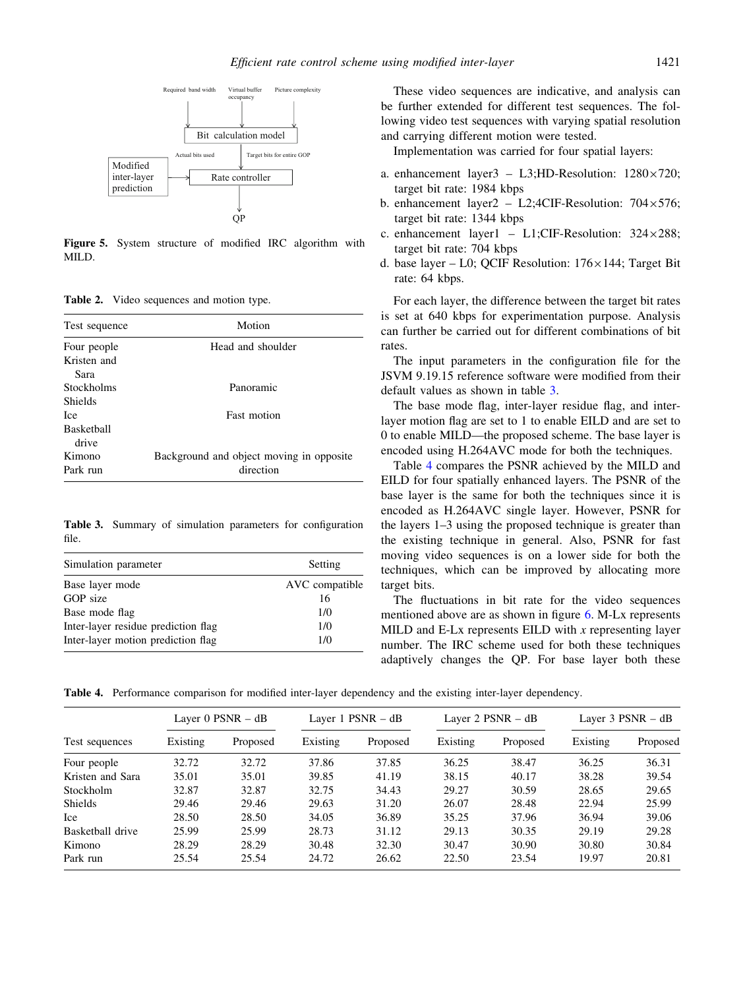

Figure 5. System structure of modified IRC algorithm with MILD.

Table 2. Video sequences and motion type.

| Test sequence     | Motion                                    |
|-------------------|-------------------------------------------|
| Four people       | Head and shoulder                         |
| Kristen and       |                                           |
| Sara              |                                           |
| Stockholms        | Panoramic                                 |
| Shields           |                                           |
| Ice.              | <b>Fast motion</b>                        |
| <b>Basketball</b> |                                           |
| drive             |                                           |
| Kimono            | Background and object moving in opposite. |
| Park run          | direction                                 |

Table 3. Summary of simulation parameters for configuration file.

| Simulation parameter                | Setting        |  |
|-------------------------------------|----------------|--|
| Base layer mode                     | AVC compatible |  |
| GOP size                            | 16             |  |
| Base mode flag                      | 1/0            |  |
| Inter-layer residue prediction flag | 1/0            |  |
| Inter-layer motion prediction flag  | 1/0            |  |

These video sequences are indicative, and analysis can be further extended for different test sequences. The following video test sequences with varying spatial resolution and carrying different motion were tested.

Implementation was carried for four spatial layers:

- a. enhancement layer3 L3; HD-Resolution:  $1280 \times 720$ ; target bit rate: 1984 kbps
- b. enhancement layer2 L2;4CIF-Resolution:  $704 \times 576$ ; target bit rate: 1344 kbps
- c. enhancement layer1 L1;CIF-Resolution:  $324 \times 288$ ; target bit rate: 704 kbps
- d. base layer L0; OCIF Resolution:  $176 \times 144$ ; Target Bit rate: 64 kbps.

For each layer, the difference between the target bit rates is set at 640 kbps for experimentation purpose. Analysis can further be carried out for different combinations of bit rates.

The input parameters in the configuration file for the JSVM 9.19.15 reference software were modified from their default values as shown in table 3.

The base mode flag, inter-layer residue flag, and interlayer motion flag are set to 1 to enable EILD and are set to 0 to enable MILD—the proposed scheme. The base layer is encoded using H.264AVC mode for both the techniques.

Table 4 compares the PSNR achieved by the MILD and EILD for four spatially enhanced layers. The PSNR of the base layer is the same for both the techniques since it is encoded as H.264AVC single layer. However, PSNR for the layers 1–3 using the proposed technique is greater than the existing technique in general. Also, PSNR for fast moving video sequences is on a lower side for both the techniques, which can be improved by allocating more target bits.

The fluctuations in bit rate for the video sequences mentioned above are as shown in figure 6. M-Lx represents MILD and E-Lx represents EILD with  $x$  representing layer number. The IRC scheme used for both these techniques adaptively changes the QP. For base layer both these

Table 4. Performance comparison for modified inter-layer dependency and the existing inter-layer dependency.

| Test sequences   | Layer $0$ PSNR $-$ dB |          | Layer $1$ PSNR $-$ dB |          | Layer 2 $PSNR - dB$ |          | Layer $3$ PSNR $-$ dB |          |
|------------------|-----------------------|----------|-----------------------|----------|---------------------|----------|-----------------------|----------|
|                  | Existing              | Proposed | Existing              | Proposed | Existing            | Proposed | Existing              | Proposed |
| Four people      | 32.72                 | 32.72    | 37.86                 | 37.85    | 36.25               | 38.47    | 36.25                 | 36.31    |
| Kristen and Sara | 35.01                 | 35.01    | 39.85                 | 41.19    | 38.15               | 40.17    | 38.28                 | 39.54    |
| Stockholm        | 32.87                 | 32.87    | 32.75                 | 34.43    | 29.27               | 30.59    | 28.65                 | 29.65    |
| <b>Shields</b>   | 29.46                 | 29.46    | 29.63                 | 31.20    | 26.07               | 28.48    | 22.94                 | 25.99    |
| Ice              | 28.50                 | 28.50    | 34.05                 | 36.89    | 35.25               | 37.96    | 36.94                 | 39.06    |
| Basketball drive | 25.99                 | 25.99    | 28.73                 | 31.12    | 29.13               | 30.35    | 29.19                 | 29.28    |
| Kimono           | 28.29                 | 28.29    | 30.48                 | 32.30    | 30.47               | 30.90    | 30.80                 | 30.84    |
| Park run         | 25.54                 | 25.54    | 24.72                 | 26.62    | 22.50               | 23.54    | 19.97                 | 20.81    |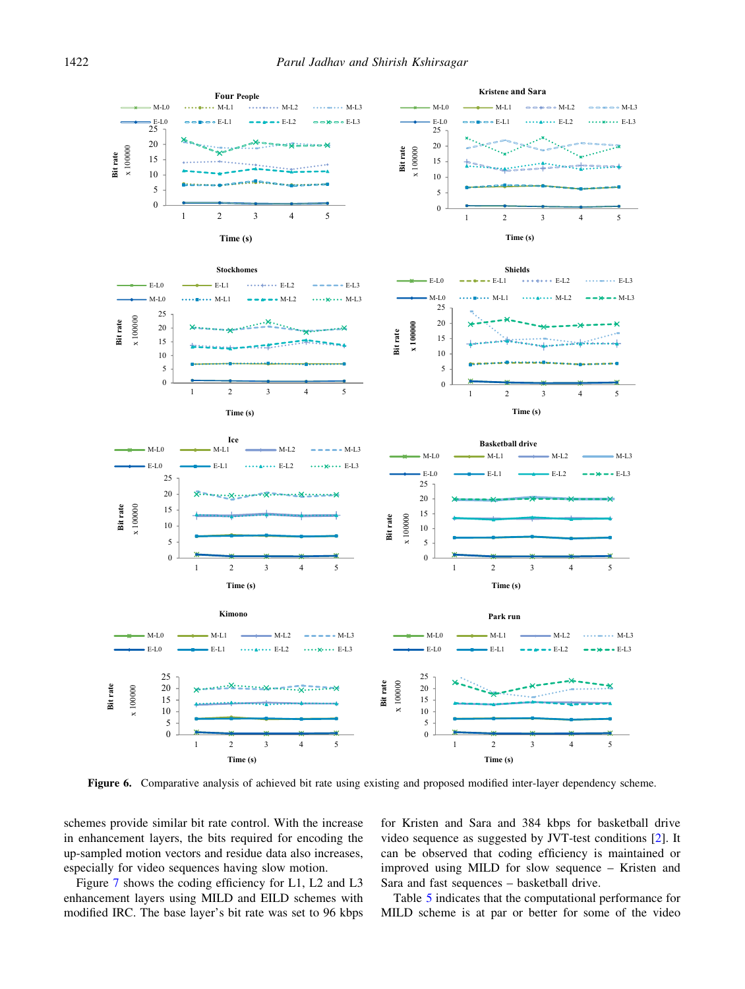

Figure 6. Comparative analysis of achieved bit rate using existing and proposed modified inter-layer dependency scheme.

schemes provide similar bit rate control. With the increase in enhancement layers, the bits required for encoding the up-sampled motion vectors and residue data also increases, especially for video sequences having slow motion.

Figure 7 shows the coding efficiency for L1, L2 and L3 enhancement layers using MILD and EILD schemes with modified IRC. The base layer's bit rate was set to 96 kbps

for Kristen and Sara and 384 kbps for basketball drive video sequence as suggested by JVT-test conditions [2]. It can be observed that coding efficiency is maintained or improved using MILD for slow sequence – Kristen and Sara and fast sequences – basketball drive.

Table 5 indicates that the computational performance for MILD scheme is at par or better for some of the video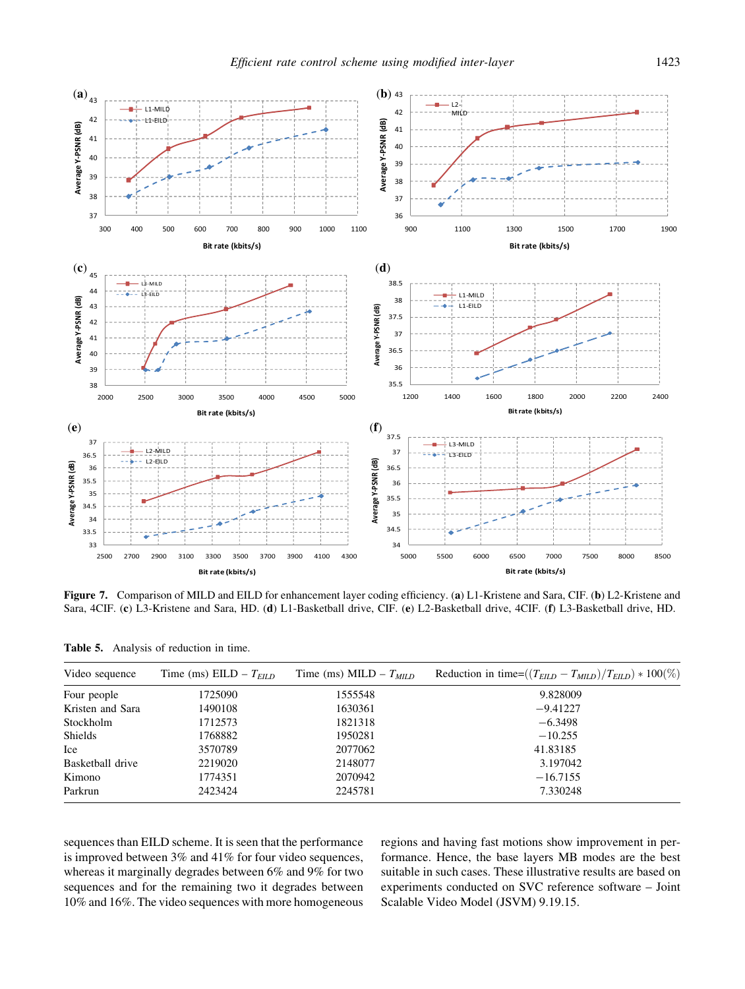

Figure 7. Comparison of MILD and EILD for enhancement layer coding efficiency. (a) L1-Kristene and Sara, CIF. (b) L2-Kristene and Sara, 4CIF. (c) L3-Kristene and Sara, HD. (d) L1-Basketball drive, CIF. (e) L2-Basketball drive, 4CIF. (f) L3-Basketball drive, HD.

| Table 5. |  |  | Analysis of reduction in time. |  |  |
|----------|--|--|--------------------------------|--|--|
|----------|--|--|--------------------------------|--|--|

| Video sequence   | Time (ms) EILD – $T_{FID}$ | Time (ms) MILD – $T_{MID}$ | Reduction in time= $((T_{EILD} - T_{MILD})/T_{EILD}) * 100\%)$ |
|------------------|----------------------------|----------------------------|----------------------------------------------------------------|
| Four people      | 1725090                    | 1555548                    | 9.828009                                                       |
| Kristen and Sara | 1490108                    | 1630361                    | $-9.41227$                                                     |
| Stockholm        | 1712573                    | 1821318                    | $-6.3498$                                                      |
| <b>Shields</b>   | 1768882                    | 1950281                    | $-10.255$                                                      |
| <b>Ice</b>       | 3570789                    | 2077062                    | 41.83185                                                       |
| Basketball drive | 2219020                    | 2148077                    | 3.197042                                                       |
| Kimono           | 1774351                    | 2070942                    | $-16.7155$                                                     |
| Parkrun          | 2423424                    | 2245781                    | 7.330248                                                       |

sequences than EILD scheme. It is seen that the performance is improved between 3% and 41% for four video sequences, whereas it marginally degrades between 6% and 9% for two sequences and for the remaining two it degrades between 10% and 16%. The video sequences with more homogeneous regions and having fast motions show improvement in performance. Hence, the base layers MB modes are the best suitable in such cases. These illustrative results are based on experiments conducted on SVC reference software – Joint Scalable Video Model (JSVM) 9.19.15.